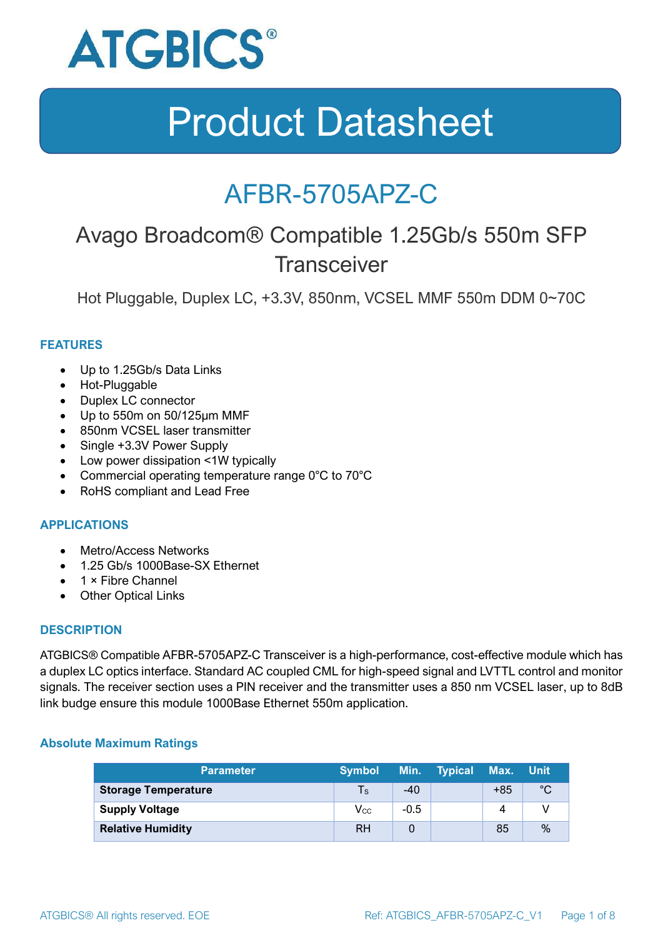

### AFBR-5705APZ-C

### Avago Broadcom® Compatible 1.25Gb/s 550m SFP **Transceiver**

Hot Pluggable, Duplex LC, +3.3V, 850nm, VCSEL MMF 550m DDM 0~70C

#### **FEATURES**

- Up to 1.25Gb/s Data Links
- Hot-Pluggable
- Duplex LC connector
- Up to 550m on 50/125μm MMF
- 850nm VCSEL laser transmitter
- Single +3.3V Power Supply
- Low power dissipation <1W typically
- Commercial operating temperature range 0°C to 70°C
- RoHS compliant and Lead Free

#### **APPLICATIONS**

- Metro/Access Networks
- 1.25 Gb/s 1000Base-SX Ethernet
- 1 × Fibre Channel
- Other Optical Links

#### **DESCRIPTION**

ATGBICS® Compatible AFBR-5705APZ-C Transceiver is a high-performance, cost-effective module which has a duplex LC optics interface. Standard AC coupled CML for high-speed signal and LVTTL control and monitor signals. The receiver section uses a PIN receiver and the transmitter uses a 850 nm VCSEL laser, up to 8dB link budge ensure this module 1000Base Ethernet 550m application.

#### **Absolute Maximum Ratings**

| <b>Parameter</b>           | <b>Symbol</b>              |        | Min. Typical Max. |       | ⊟Unit |
|----------------------------|----------------------------|--------|-------------------|-------|-------|
| <b>Storage Temperature</b> | $\mathsf{Ts}$              | $-40$  |                   | $+85$ | °C    |
| <b>Supply Voltage</b>      | $\mathsf{V}_{\mathsf{CC}}$ | $-0.5$ |                   |       |       |
| <b>Relative Humidity</b>   | RH                         |        |                   | 85    | %     |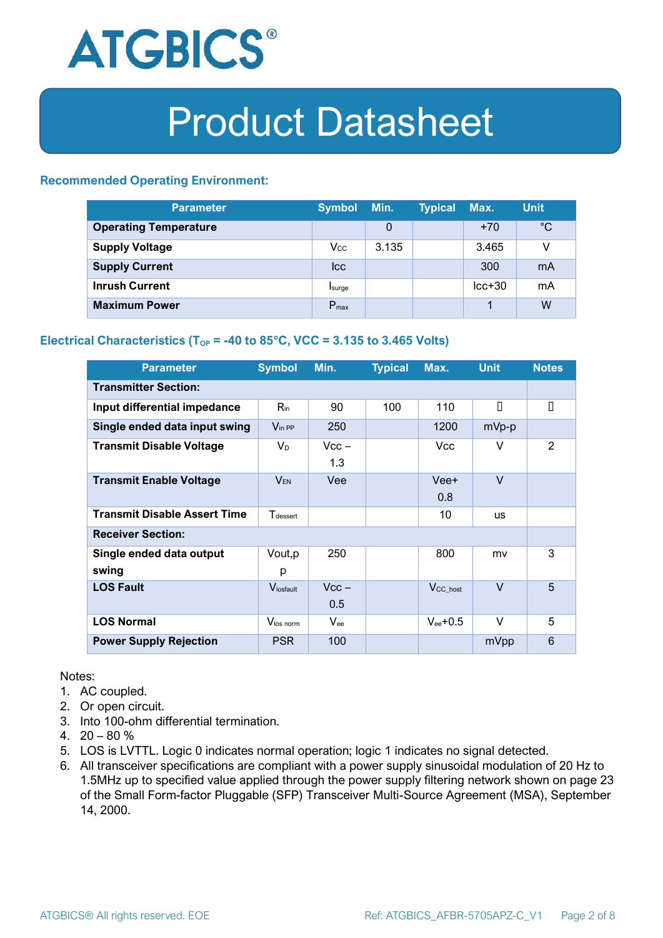

#### **Recommended Operating Environment:**

| <b>Parameter</b>             | <b>Symbol</b>    | Min.  | <b>Typical</b> | Max.     | <b>Unit</b> |
|------------------------------|------------------|-------|----------------|----------|-------------|
| <b>Operating Temperature</b> |                  | 0     |                | $+70$    | $^{\circ}C$ |
| <b>Supply Voltage</b>        | $V_{\rm CC}$     | 3.135 |                | 3.465    | v           |
| <b>Supply Current</b>        | <b>Icc</b>       |       |                | 300      | mA          |
| <b>Inrush Current</b>        | Isurge           |       |                | $lcc+30$ | mA          |
| <b>Maximum Power</b>         | $P_{\text{max}}$ |       |                |          | W           |

#### **Electrical Characteristics** ( $T_{OP}$  = -40 to 85°C, VCC = 3.135 to 3.465 Volts)

| <b>Parameter</b>                    | <b>Symbol</b>               | Min.           | <b>Typical</b> | Max.                  | <b>Unit</b> | <b>Notes</b> |  |
|-------------------------------------|-----------------------------|----------------|----------------|-----------------------|-------------|--------------|--|
| <b>Transmitter Section:</b>         |                             |                |                |                       |             |              |  |
| Input differential impedance        | $R_{\rm in}$                | 90             | 100            | 110                   | П           | О            |  |
| Single ended data input swing       | $V_{\text{in PP}}$          | 250            |                | 1200                  | mVp-p       |              |  |
| <b>Transmit Disable Voltage</b>     | $V_D$                       | $Vcc -$<br>1.3 |                | Vcc                   | V           | 2            |  |
| <b>Transmit Enable Voltage</b>      | $V_{EN}$                    | Vee            |                | Vee+<br>0.8           | $\vee$      |              |  |
| <b>Transmit Disable Assert Time</b> | <b>T</b> <sub>dessert</sub> |                |                | 10                    | <b>US</b>   |              |  |
| <b>Receiver Section:</b>            |                             |                |                |                       |             |              |  |
| Single ended data output<br>swing   | Vout, p<br>р                | 250            |                | 800                   | mv          | 3            |  |
| <b>LOS Fault</b>                    | Vlosfault                   | $Vcc -$<br>0.5 |                | $V_{\text{CC\_host}}$ | $\vee$      | 5            |  |
| <b>LOS Normal</b>                   | Vlos norm                   | $V_{\rm ee}$   |                | $V_{ee}$ +0.5         | V           | 5            |  |
| <b>Power Supply Rejection</b>       | <b>PSR</b>                  | 100            |                |                       | mVpp        | 6            |  |

Notes:

- 1. AC coupled.
- 2. Or open circuit.
- 3. Into 100-ohm differential termination.
- 4.  $20 80 \%$
- 5. LOS is LVTTL. Logic 0 indicates normal operation; logic 1 indicates no signal detected.
- 6. All transceiver specifications are compliant with a power supply sinusoidal modulation of 20 Hz to 1.5MHz up to specified value applied through the power supply filtering network shown on page 23 of the Small Form-factor Pluggable (SFP) Transceiver Multi-Source Agreement (MSA), September 14, 2000.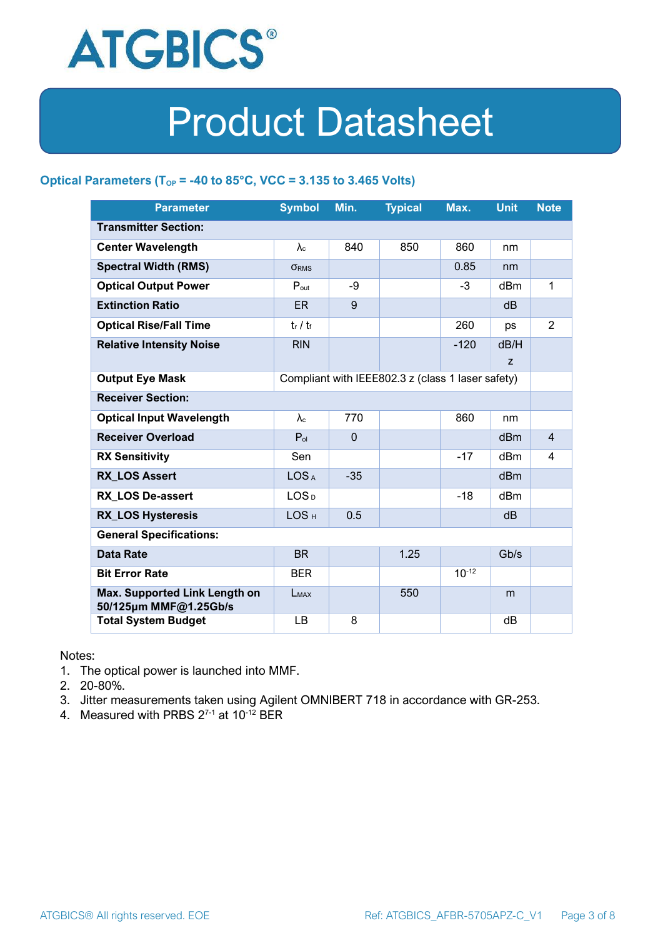

#### **Optical Parameters** ( $T_{OP}$  = -40 to 85°C, VCC = 3.135 to 3.465 Volts)

| <b>Parameter</b>                                                            | <b>Symbol</b>     | Min.         | <b>Typical</b> | Max.       | <b>Unit</b>     | <b>Note</b>    |
|-----------------------------------------------------------------------------|-------------------|--------------|----------------|------------|-----------------|----------------|
| <b>Transmitter Section:</b>                                                 |                   |              |                |            |                 |                |
| <b>Center Wavelength</b>                                                    | $\lambda_c$       | 840          | 850            | 860        | nm              |                |
| <b>Spectral Width (RMS)</b>                                                 | <b>ORMS</b>       |              |                | 0.85       | nm              |                |
| <b>Optical Output Power</b>                                                 | $P_{\text{out}}$  | -9           |                | $-3$       | dBm             | 1              |
| <b>Extinction Ratio</b>                                                     | <b>ER</b>         | 9            |                |            | dB              |                |
| <b>Optical Rise/Fall Time</b>                                               | $t_r / t_f$       |              |                | 260        | ps              | $\overline{2}$ |
| <b>Relative Intensity Noise</b>                                             | <b>RIN</b>        |              |                | $-120$     | dB/H            |                |
|                                                                             |                   |              |                |            | Z               |                |
| <b>Output Eye Mask</b><br>Compliant with IEEE802.3 z (class 1 laser safety) |                   |              |                |            |                 |                |
| <b>Receiver Section:</b>                                                    |                   |              |                |            |                 |                |
| <b>Optical Input Wavelength</b>                                             | $\lambda_{\rm c}$ | 770          |                | 860        | nm              |                |
| <b>Receiver Overload</b>                                                    | $P_{ol}$          | $\mathbf{0}$ |                |            | dBm             | $\overline{4}$ |
| <b>RX Sensitivity</b>                                                       | Sen               |              |                | $-17$      | dBm             | 4              |
| <b>RX LOS Assert</b>                                                        | LOS <sub>A</sub>  | $-35$        |                |            | d <sub>Bm</sub> |                |
| <b>RX LOS De-assert</b>                                                     | LOS <sub>D</sub>  |              |                | -18        | dB <sub>m</sub> |                |
| <b>RX_LOS Hysteresis</b>                                                    | LOS <sub>H</sub>  | 0.5          |                |            | d <sub>B</sub>  |                |
| <b>General Specifications:</b>                                              |                   |              |                |            |                 |                |
| <b>Data Rate</b>                                                            | <b>BR</b>         |              | 1.25           |            | Gb/s            |                |
| <b>Bit Error Rate</b>                                                       | <b>BER</b>        |              |                | $10^{-12}$ |                 |                |
| Max. Supported Link Length on<br>50/125µm MMF@1.25Gb/s                      | LMAX              |              | 550            |            | m               |                |
| <b>Total System Budget</b>                                                  | LB                | 8            |                |            | dB              |                |

Notes:

- 1. The optical power is launched into MMF.
- 2. 20-80%.
- 3. Jitter measurements taken using Agilent OMNIBERT 718 in accordance with GR-253.
- 4. Measured with PRBS  $2^{7-1}$  at 10<sup>-12</sup> BER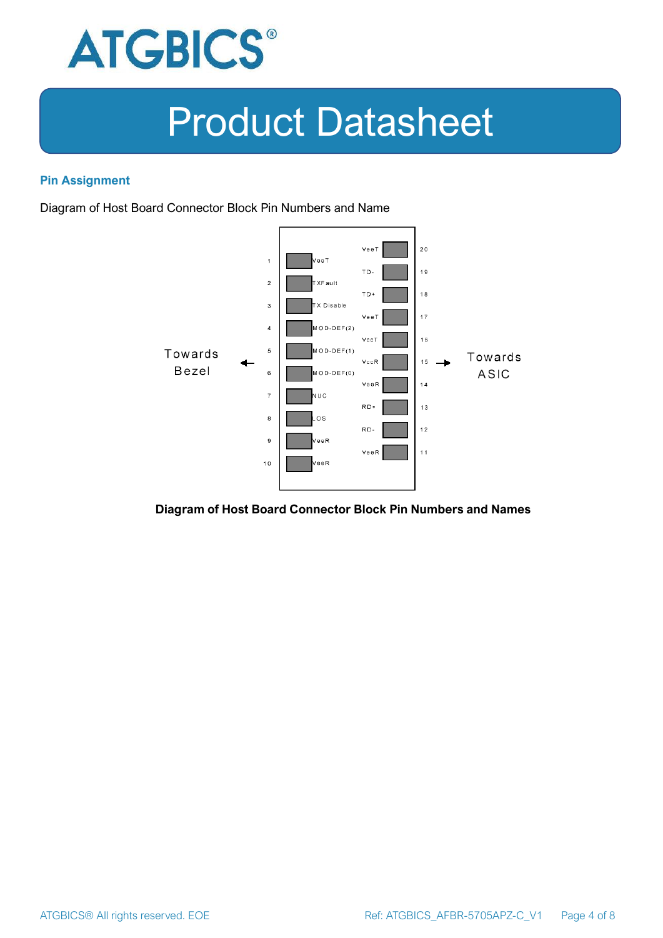

#### **Pin Assignment**

Diagram of Host Board Connector Block Pin Numbers and Name



#### **Diagram of Host Board Connector Block Pin Numbers and Names**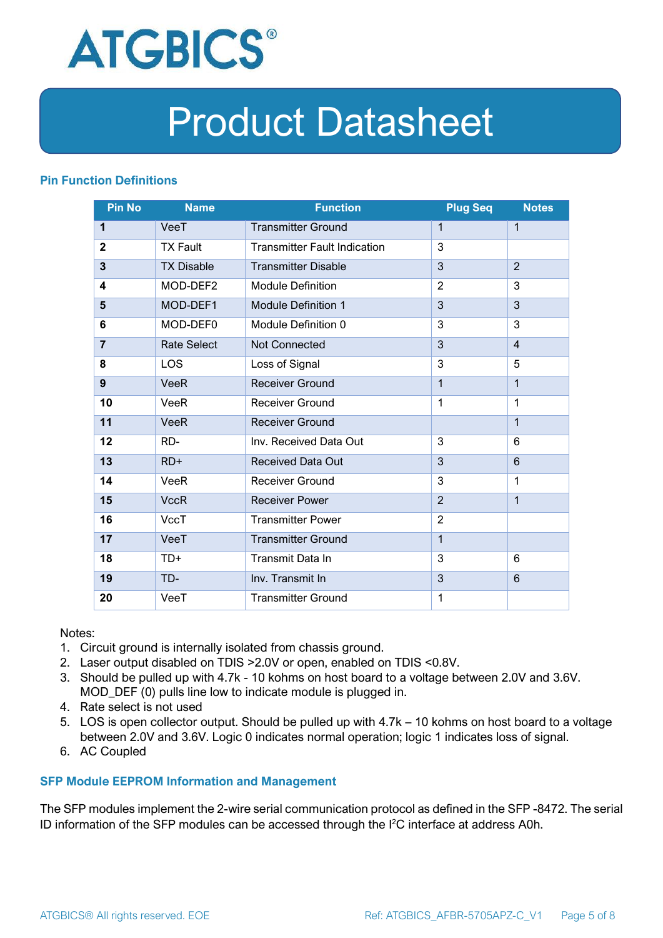

#### **Pin Function Definitions**

| <b>Pin No</b>  | <b>Name</b>        | <b>Function</b>                     | <b>Plug Seq</b> | <b>Notes</b>   |
|----------------|--------------------|-------------------------------------|-----------------|----------------|
| 1              | VeeT               | <b>Transmitter Ground</b>           | 1               | $\mathbf 1$    |
| $\mathbf 2$    | <b>TX Fault</b>    | <b>Transmitter Fault Indication</b> | 3               |                |
| 3              | <b>TX Disable</b>  | <b>Transmitter Disable</b>          | 3               | $\overline{2}$ |
| 4              | MOD-DEF2           | <b>Module Definition</b>            | $\overline{2}$  | 3              |
| 5              | MOD-DEF1           | <b>Module Definition 1</b>          | 3               | 3              |
| 6              | MOD-DEF0           | Module Definition 0                 | 3               | 3              |
| $\overline{7}$ | <b>Rate Select</b> | Not Connected                       | 3               | $\overline{4}$ |
| 8              | <b>LOS</b>         | Loss of Signal                      | 3               | 5              |
| 9              | <b>VeeR</b>        | <b>Receiver Ground</b>              | $\mathbf 1$     | $\mathbf{1}$   |
| 10             | VeeR               | Receiver Ground                     | $\mathbf{1}$    | 1              |
| 11             | <b>VeeR</b>        | <b>Receiver Ground</b>              |                 | $\mathbf{1}$   |
| 12             | RD-                | Inv. Received Data Out              | 3               | 6              |
| 13             | $RD+$              | <b>Received Data Out</b>            | 3               | 6              |
| 14             | VeeR               | <b>Receiver Ground</b>              | 3               | 1              |
| 15             | <b>VccR</b>        | <b>Receiver Power</b>               | $\overline{2}$  | $\mathbf{1}$   |
| 16             | <b>VccT</b>        | <b>Transmitter Power</b>            | $\overline{2}$  |                |
| 17             | VeeT               | <b>Transmitter Ground</b>           | $\mathbf{1}$    |                |
| 18             | TD+                | Transmit Data In                    | 3               | 6              |
| 19             | TD-                | Inv. Transmit In                    | 3               | 6              |
| 20             | VeeT               | <b>Transmitter Ground</b>           | 1               |                |

Notes:

- 1. Circuit ground is internally isolated from chassis ground.
- 2. Laser output disabled on TDIS >2.0V or open, enabled on TDIS <0.8V.
- 3. Should be pulled up with 4.7k 10 kohms on host board to a voltage between 2.0V and 3.6V. MOD\_DEF (0) pulls line low to indicate module is plugged in.
- 4. Rate select is not used
- 5. LOS is open collector output. Should be pulled up with 4.7k 10 kohms on host board to a voltage between 2.0V and 3.6V. Logic 0 indicates normal operation; logic 1 indicates loss of signal.
- 6. AC Coupled

#### **SFP Module EEPROM Information and Management**

The SFP modules implement the 2-wire serial communication protocol as defined in the SFP -8472. The serial ID information of the SFP modules can be accessed through the I2C interface at address A0h.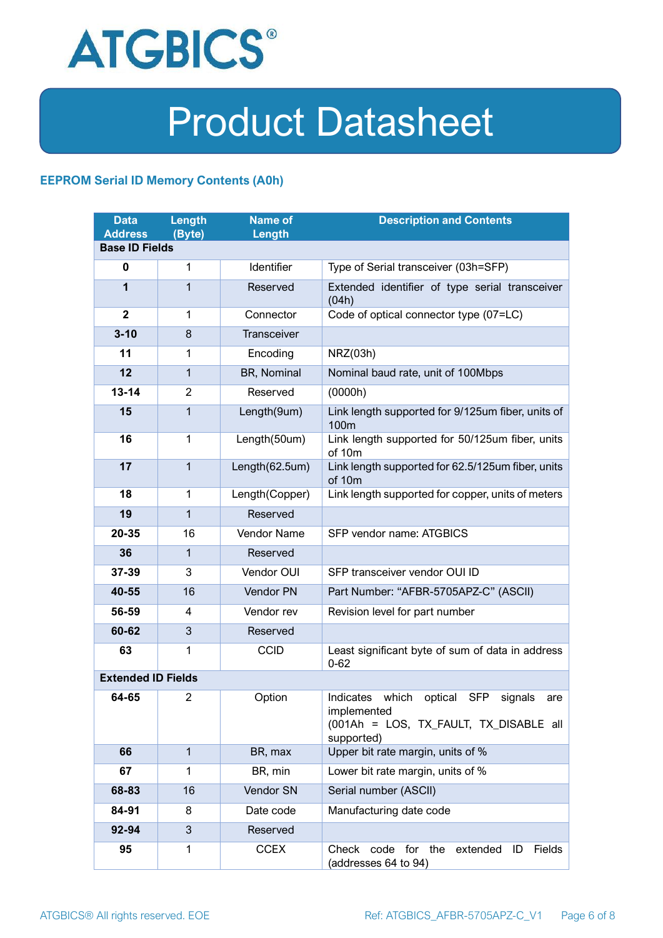

#### **EEPROM Serial ID Memory Contents (A0h)**

| <b>Data</b><br><b>Address</b> | <b>Length</b><br>(Byte) | <b>Name of</b><br>Length | <b>Description and Contents</b>                                                                                         |  |  |
|-------------------------------|-------------------------|--------------------------|-------------------------------------------------------------------------------------------------------------------------|--|--|
| <b>Base ID Fields</b>         |                         |                          |                                                                                                                         |  |  |
| $\mathbf 0$                   | 1                       | Identifier               | Type of Serial transceiver (03h=SFP)                                                                                    |  |  |
| 1                             | 1                       | Reserved                 | Extended identifier of type serial transceiver<br>(04h)                                                                 |  |  |
| $\overline{2}$                | 1                       | Connector                | Code of optical connector type (07=LC)                                                                                  |  |  |
| $3 - 10$                      | 8                       | <b>Transceiver</b>       |                                                                                                                         |  |  |
| 11                            | 1                       | Encoding                 | NRZ(03h)                                                                                                                |  |  |
| 12                            | $\mathbf{1}$            | BR, Nominal              | Nominal baud rate, unit of 100Mbps                                                                                      |  |  |
| $13 - 14$                     | $\overline{2}$          | Reserved                 | (0000h)                                                                                                                 |  |  |
| 15                            | 1                       | Length(9um)              | Link length supported for 9/125um fiber, units of<br>100 <sub>m</sub>                                                   |  |  |
| 16                            | $\mathbf 1$             | Length(50um)             | Link length supported for 50/125um fiber, units<br>of 10m                                                               |  |  |
| 17                            | $\mathbf{1}$            | Length(62.5um)           | Link length supported for 62.5/125um fiber, units<br>of 10m                                                             |  |  |
| 18                            | $\mathbf{1}$            | Length(Copper)           | Link length supported for copper, units of meters                                                                       |  |  |
| 19                            | 1                       | Reserved                 |                                                                                                                         |  |  |
| 20-35                         | 16                      | Vendor Name              | SFP vendor name: ATGBICS                                                                                                |  |  |
| 36                            | 1                       | Reserved                 |                                                                                                                         |  |  |
| 37-39                         | 3                       | Vendor OUI               | SFP transceiver vendor OUI ID                                                                                           |  |  |
| 40-55                         | 16                      | Vendor PN                | Part Number: "AFBR-5705APZ-C" (ASCII)                                                                                   |  |  |
| 56-59                         | 4                       | Vendor rev               | Revision level for part number                                                                                          |  |  |
| 60-62                         | 3                       | Reserved                 |                                                                                                                         |  |  |
| 63                            | 1                       | <b>CCID</b>              | Least significant byte of sum of data in address<br>$0 - 62$                                                            |  |  |
| <b>Extended ID Fields</b>     |                         |                          |                                                                                                                         |  |  |
| 64-65                         | 2                       | Option                   | Indicates which<br>optical SFP<br>signals<br>are<br>implemented<br>(001Ah = LOS, TX FAULT, TX DISABLE all<br>supported) |  |  |
| 66                            | $\mathbf{1}$            | BR, max                  | Upper bit rate margin, units of %                                                                                       |  |  |
| 67                            | 1                       | BR, min                  | Lower bit rate margin, units of %                                                                                       |  |  |
| 68-83                         | 16                      | Vendor SN                | Serial number (ASCII)                                                                                                   |  |  |
| 84-91                         | 8                       | Date code                | Manufacturing date code                                                                                                 |  |  |
| 92-94                         | 3                       | Reserved                 |                                                                                                                         |  |  |
| 95                            | 1                       | <b>CCEX</b>              | Check code for the<br>Fields<br>extended<br>ID<br>(addresses 64 to 94)                                                  |  |  |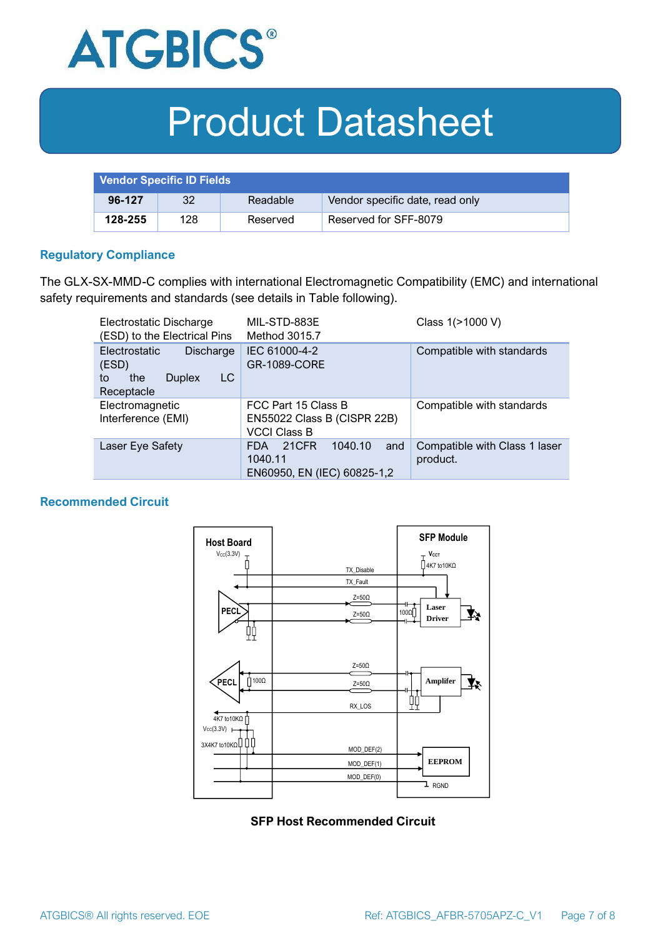

| <b>Vendor Specific ID Fields</b> |     |          |                                 |
|----------------------------------|-----|----------|---------------------------------|
| 96-127                           | 32  | Readable | Vendor specific date, read only |
| 128-255                          | 128 | Reserved | Reserved for SFF-8079           |

#### **Regulatory Compliance**

The GLX-SX-MMD-C complies with international Electromagnetic Compatibility (EMC) and international safety requirements and standards (see details in Table following).

| Electrostatic Discharge<br>(ESD) to the Electrical Pins                                      | MIL-STD-883E<br>Method 3015.7                                                   | Class 1(>1000 V)                          |  |
|----------------------------------------------------------------------------------------------|---------------------------------------------------------------------------------|-------------------------------------------|--|
| <b>Electrostatic</b><br>Discharge<br>(ESD)<br>LC<br>the<br><b>Duplex</b><br>to<br>Receptacle | IEC 61000-4-2<br><b>GR-1089-CORE</b>                                            | Compatible with standards                 |  |
| Electromagnetic<br>Interference (EMI)                                                        | FCC Part 15 Class B<br>EN55022 Class B (CISPR 22B)<br><b>VCCI Class B</b>       | Compatible with standards                 |  |
| Laser Eye Safety                                                                             | 1040.10<br>21CFR<br>and<br><b>FDA</b><br>1040.11<br>EN60950, EN (IEC) 60825-1,2 | Compatible with Class 1 laser<br>product. |  |

#### **Recommended Circuit**



#### **SFP Host Recommended Circuit**